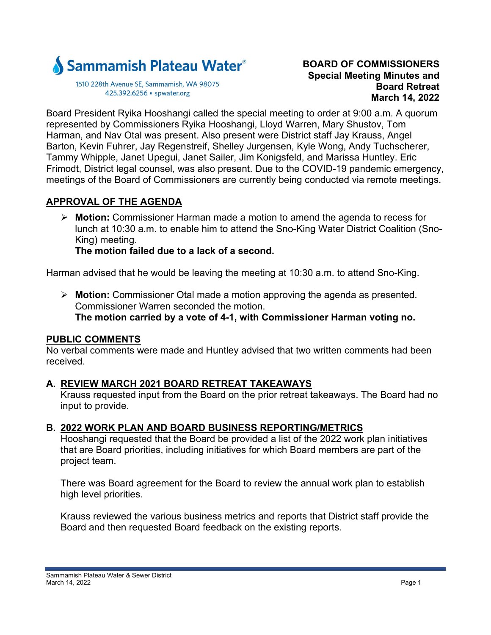

1510 228th Avenue SE, Sammamish, WA 98075 425.392.6256 · spwater.org

#### **BOARD OF COMMISSIONERS Special Meeting Minutes and Board Retreat March 14, 2022**

Board President Ryika Hooshangi called the special meeting to order at 9:00 a.m. A quorum represented by Commissioners Ryika Hooshangi, Lloyd Warren, Mary Shustov, Tom Harman, and Nav Otal was present. Also present were District staff Jay Krauss, Angel Barton, Kevin Fuhrer, Jay Regenstreif, Shelley Jurgensen, Kyle Wong, Andy Tuchscherer, Tammy Whipple, Janet Upegui, Janet Sailer, Jim Konigsfeld, and Marissa Huntley. Eric Frimodt, District legal counsel, was also present. Due to the COVID-19 pandemic emergency, meetings of the Board of Commissioners are currently being conducted via remote meetings.

# **APPROVAL OF THE AGENDA**

 **Motion:** Commissioner Harman made a motion to amend the agenda to recess for lunch at 10:30 a.m. to enable him to attend the Sno-King Water District Coalition (Sno-King) meeting.

**The motion failed due to a lack of a second.**

Harman advised that he would be leaving the meeting at 10:30 a.m. to attend Sno-King.

 **Motion:** Commissioner Otal made a motion approving the agenda as presented. Commissioner Warren seconded the motion. **The motion carried by a vote of 4-1, with Commissioner Harman voting no.** 

#### **PUBLIC COMMENTS**

No verbal comments were made and Huntley advised that two written comments had been received.

# **A. REVIEW MARCH 2021 BOARD RETREAT TAKEAWAYS**

Krauss requested input from the Board on the prior retreat takeaways. The Board had no input to provide.

# **B. 2022 WORK PLAN AND BOARD BUSINESS REPORTING/METRICS**

Hooshangi requested that the Board be provided a list of the 2022 work plan initiatives that are Board priorities, including initiatives for which Board members are part of the project team.

There was Board agreement for the Board to review the annual work plan to establish high level priorities.

Krauss reviewed the various business metrics and reports that District staff provide the Board and then requested Board feedback on the existing reports.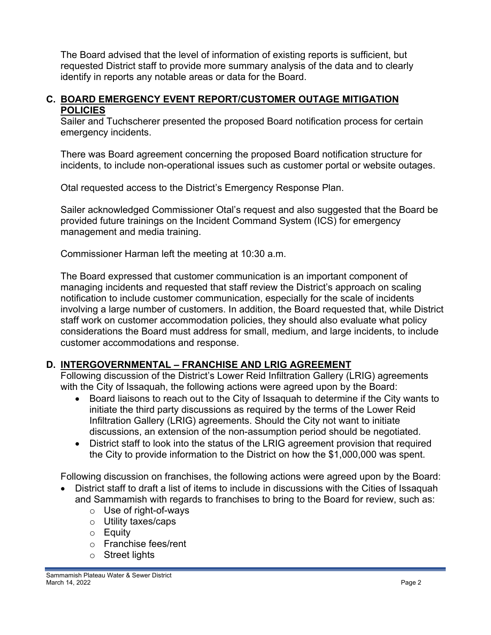The Board advised that the level of information of existing reports is sufficient, but requested District staff to provide more summary analysis of the data and to clearly identify in reports any notable areas or data for the Board.

#### **C. BOARD EMERGENCY EVENT REPORT/CUSTOMER OUTAGE MITIGATION POLICIES**

Sailer and Tuchscherer presented the proposed Board notification process for certain emergency incidents.

There was Board agreement concerning the proposed Board notification structure for incidents, to include non-operational issues such as customer portal or website outages.

Otal requested access to the District's Emergency Response Plan.

Sailer acknowledged Commissioner Otal's request and also suggested that the Board be provided future trainings on the Incident Command System (ICS) for emergency management and media training.

Commissioner Harman left the meeting at 10:30 a.m.

The Board expressed that customer communication is an important component of managing incidents and requested that staff review the District's approach on scaling notification to include customer communication, especially for the scale of incidents involving a large number of customers. In addition, the Board requested that, while District staff work on customer accommodation policies, they should also evaluate what policy considerations the Board must address for small, medium, and large incidents, to include customer accommodations and response.

# **D. INTERGOVERNMENTAL – FRANCHISE AND LRIG AGREEMENT**

Following discussion of the District's Lower Reid Infiltration Gallery (LRIG) agreements with the City of Issaquah, the following actions were agreed upon by the Board:

- Board liaisons to reach out to the City of Issaquah to determine if the City wants to initiate the third party discussions as required by the terms of the Lower Reid Infiltration Gallery (LRIG) agreements. Should the City not want to initiate discussions, an extension of the non-assumption period should be negotiated.
- District staff to look into the status of the LRIG agreement provision that required the City to provide information to the District on how the \$1,000,000 was spent.

Following discussion on franchises, the following actions were agreed upon by the Board:

- District staff to draft a list of items to include in discussions with the Cities of Issaquah and Sammamish with regards to franchises to bring to the Board for review, such as:
	- o Use of right-of-ways
	- o Utility taxes/caps
	- o Equity
	- o Franchise fees/rent
	- o Street lights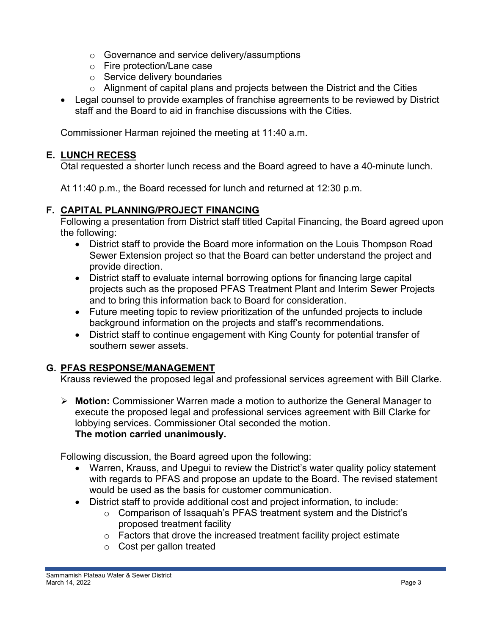- o Governance and service delivery/assumptions
- o Fire protection/Lane case
- o Service delivery boundaries
- $\circ$  Alignment of capital plans and projects between the District and the Cities
- Legal counsel to provide examples of franchise agreements to be reviewed by District staff and the Board to aid in franchise discussions with the Cities.

Commissioner Harman rejoined the meeting at 11:40 a.m.

#### **E. LUNCH RECESS**

Otal requested a shorter lunch recess and the Board agreed to have a 40-minute lunch.

At 11:40 p.m., the Board recessed for lunch and returned at 12:30 p.m.

#### **F. CAPITAL PLANNING/PROJECT FINANCING**

Following a presentation from District staff titled Capital Financing, the Board agreed upon the following:

- District staff to provide the Board more information on the Louis Thompson Road Sewer Extension project so that the Board can better understand the project and provide direction.
- District staff to evaluate internal borrowing options for financing large capital projects such as the proposed PFAS Treatment Plant and Interim Sewer Projects and to bring this information back to Board for consideration.
- Future meeting topic to review prioritization of the unfunded projects to include background information on the projects and staff's recommendations.
- District staff to continue engagement with King County for potential transfer of southern sewer assets.

# **G. PFAS RESPONSE/MANAGEMENT**

Krauss reviewed the proposed legal and professional services agreement with Bill Clarke.

 **Motion:** Commissioner Warren made a motion to authorize the General Manager to execute the proposed legal and professional services agreement with Bill Clarke for lobbying services. Commissioner Otal seconded the motion. **The motion carried unanimously.** 

Following discussion, the Board agreed upon the following:

- Warren, Krauss, and Upegui to review the District's water quality policy statement with regards to PFAS and propose an update to the Board. The revised statement would be used as the basis for customer communication.
- District staff to provide additional cost and project information, to include:
	- o Comparison of Issaquah's PFAS treatment system and the District's proposed treatment facility
	- $\circ$  Factors that drove the increased treatment facility project estimate
	- o Cost per gallon treated